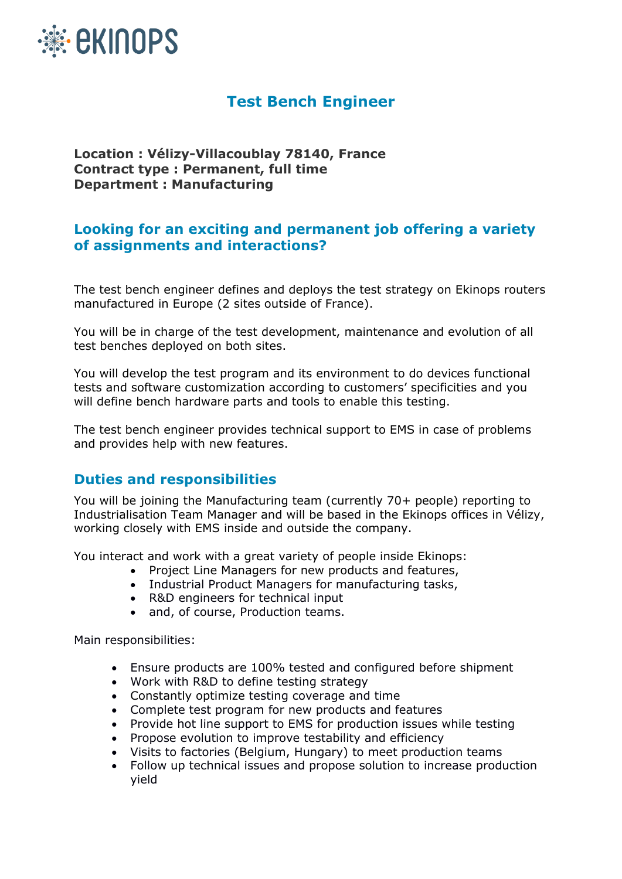

# **Test Bench Engineer**

**Location : Vélizy-Villacoublay 78140, France Contract type : Permanent, full time Department : Manufacturing**

# **Looking for an exciting and permanent job offering a variety of assignments and interactions?**

The test bench engineer defines and deploys the test strategy on Ekinops routers manufactured in Europe (2 sites outside of France).

You will be in charge of the test development, maintenance and evolution of all test benches deployed on both sites.

You will develop the test program and its environment to do devices functional tests and software customization according to customers' specificities and you will define bench hardware parts and tools to enable this testing.

The test bench engineer provides technical support to EMS in case of problems and provides help with new features.

# **Duties and responsibilities**

You will be joining the Manufacturing team (currently 70+ people) reporting to Industrialisation Team Manager and will be based in the Ekinops offices in Vélizy, working closely with EMS inside and outside the company.

You interact and work with a great variety of people inside Ekinops:

- Project Line Managers for new products and features,
- Industrial Product Managers for manufacturing tasks,
- R&D engineers for technical input
- and, of course, Production teams.

Main responsibilities:

- Ensure products are 100% tested and configured before shipment
- Work with R&D to define testing strategy
- Constantly optimize testing coverage and time
- Complete test program for new products and features
- Provide hot line support to EMS for production issues while testing
- Propose evolution to improve testability and efficiency
- Visits to factories (Belgium, Hungary) to meet production teams
- Follow up technical issues and propose solution to increase production yield